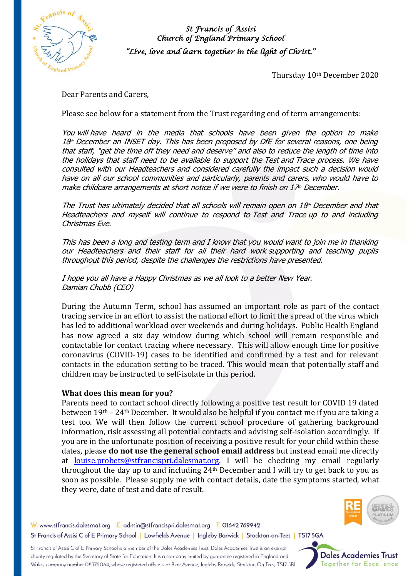

*St Francis of Assisi Church of England Primary School "Live, love and learn together in the light of Christ."* 

Thursday 10th December 2020

Dear Parents and Carers,

Please see below for a statement from the Trust regarding end of term arrangements:

You will have heard in the media that schools have been given the option to make 18th December an INSET day. This has been proposed by DfE for several reasons, one being that staff, "get the time off they need and deserve" and also to reduce the length of time into the holidays that staff need to be available to support the Test and Trace process. We have consulted with our Headteachers and considered carefully the impact such a decision would have on all our school communities and particularly, parents and carers, who would have to make childcare arrangements at short notice if we were to finish on  $17<sup>th</sup>$  December.

The Trust has ultimately decided that all schools will remain open on  $18<sup>th</sup>$  December and that Headteachers and myself will continue to respond to Test and Trace up to and including Christmas Eve.

This has been a long and testing term and I know that you would want to join me in thanking our Headteachers and their staff for all their hard work supporting and teaching pupils throughout this period, despite the challenges the restrictions have presented.

I hope you all have a Happy Christmas as we all look to a better New Year. Damian Chubb (CEO)

During the Autumn Term, school has assumed an important role as part of the contact tracing service in an effort to assist the national effort to limit the spread of the virus which has led to additional workload over weekends and during holidays. Public Health England has now agreed a six day window during which school will remain responsible and contactable for contact tracing where necessary. This will allow enough time for positive coronavirus (COVID-19) cases to be identified and confirmed by a test and for relevant contacts in the education setting to be traced. This would mean that potentially staff and children may be instructed to self-isolate in this period.

## **What does this mean for you?**

Parents need to contact school directly following a positive test result for COVID 19 dated between 19th – 24th December. It would also be helpful if you contact me if you are taking a test too. We will then follow the current school procedure of gathering background information, risk assessing all potential contacts and advising self-isolation accordingly. If you are in the unfortunate position of receiving a positive result for your child within these dates, please **do not use the general school email address** but instead email me directly at [louise.probets@stfrancispri.dalesmat.org.](mailto:louise.probets@stfrancispri.dalesmat.org) I will be checking my email regularly throughout the day up to and including 24th December and I will try to get back to you as soon as possible. Please supply me with contact details, date the symptoms started, what they were, date of test and date of result.



W: www.stfrancis.dalesmat.org E: admin@stfrancispri.dalesmat.org T: 01642 769942 St Francis of Assisi C of E Primary School | Lowfields Avenue | Ingleby Barwick | Stockton-on-Tees | TS17 5GA

St Francis of Assisi C of E Primary School is a member of the Dales Academies Trust. Dales Academies Trust is an exempt charity regulated by the Secretary of State for Education. It is a company limited by guarantee registered in England and Wales, company number 08372064, whose registered office is at Blair Avenue, Ingleby Barwick, Stockton On Tees, TS17 5BL

**Dales Academies Trust** Together for Excellence